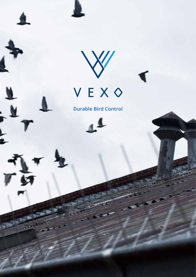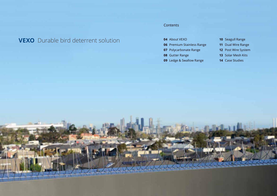# **VEXO** Durable bird deterrent solution

### **Contents**

- About VEXO
- Premium Stainless Range
- Polycarbonate Range
- Gutter Range
- Ledge & Swallow Range
- Seagull Range
- Dual Wire Range
- Post Wire System
- Solar Mesh Kits
- Case Studies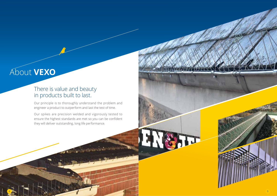# About **VEXO**

## There is value and beauty in products built to last.

Our principle is to thoroughly understand the problem and engineer a product to outperform and last the test of time.

Our spikes are precision welded and vigorously tested to ensure the highest standards are met so you can be confident they will deliver outstanding, long life performance.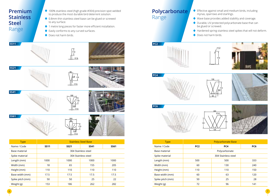

## **Polycarbonate**  Range

- Effective against small and medium birds, including mynas, sparrows and starlings.
- Wave base provides added stability and coverage.
- Durable, UV protected polycarbonate base that can be glued or screwed.
- Hardened spring stainless steel spikes that will not deform.
- ◆ Does not harm birds.





**PC4**





**PC6**







| <b>Type</b>      | <b>Polycarbonate Base</b> |     |     |
|------------------|---------------------------|-----|-----|
| Name / Code      | PC <sub>2</sub>           | PC4 | PC6 |
| Base material    | Polycarbonate             |     |     |
| Spike material   | 304 Stainless steel       |     |     |
| Length (mm)      | 500                       | 500 | 333 |
| Width (mm)       | 60                        | 130 | 240 |
| Height (mm)      | 110                       | 110 | 150 |
| Base width (mm)  | 60                        | 63  | 120 |
| Spike pitch (mm) | 50                        | 25  | 28  |
| Weight (g)       | 72                        | 96  | 141 |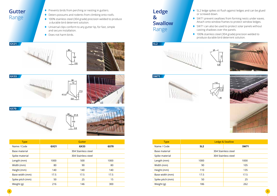- **Gutter**  Range
- **Prevents birds from perching or nesting in gutters.**
- Deters possums and rodents from climbing onto roofs.
- ◆ 100% stainless steel (304 grade) precision welded to produce a durable bird deterrent solution.
- Universal clips conform to any gutter lip, for fast, simple and secure installation.
- ◆ Does not harm birds.









**GS70**





| <b>Type</b>      | Gutter              |      |      |
|------------------|---------------------|------|------|
| Name / Code      | GX21                | GX33 | GS70 |
| Base material    | 304 Stainless steel |      |      |
| Spike material   | 304 Stainless steel |      |      |
| Length (mm)      | 1000                | 500  | 1000 |
| Width (mm)       | 80                  | 90   | 80   |
| Height (mm)      | 140                 | 140  | 140  |
| Base width (mm)  | 17.5                | 17.5 | 17.5 |
| Spike pitch (mm) | 50                  | 25   | 15   |
| Weight (g)       | 216                 | 146  | 300  |

## **Ledge & Swallow**  Range

- SL2 ledge spikes sit flush against ledges and can be glued or screwed down.
- SW71 prevent swallows from forming nests under eaves. Attach onto window frames to protect window ledges.
- SW71 can also be used to protect solar panels without casting shadows over the panels.
- ◆ 100% stainless steel (304 grade) precision welded to produce durable bird deterrent solution.







![](_page_4_Picture_24.jpeg)

| <b>Type</b>      | <b>Ledge &amp; Swallow</b> |             |  |
|------------------|----------------------------|-------------|--|
| Name / Code      | SL <sub>2</sub>            | <b>SW71</b> |  |
| Base material    | 304 Stainless steel        |             |  |
| Spike material   | 304 Stainless steel        |             |  |
| Length (mm)      | 1000                       | 1000        |  |
| Width (mm)       | 90                         | 105         |  |
| Height (mm)      | 110<br>135                 |             |  |
| Base width (mm)  | 17.5                       | 17.5        |  |
| Spike pitch (mm) | 50                         | 25          |  |
| Weight (g)       | 186                        | 262         |  |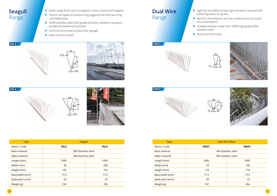## **Seagull**  Range

- Deters large birds such as seagulls, crows, ravens and magpies.
- ♦ 165mm tall spikes to prevent long legged birds from perching and defecating.
- ◆ 100% stainless steel (304 grade) precision welded to produce durable bird deterrent solution.
- ◆ Conforms to curved surfaces like signage.
- ◆ Does not harm birds.

![](_page_5_Figure_6.jpeg)

![](_page_5_Picture_7.jpeg)

![](_page_5_Figure_9.jpeg)

![](_page_5_Picture_10.jpeg)

| <b>Type</b>      | Seagull                  |      |  |  |
|------------------|--------------------------|------|--|--|
| Name / Code      | SGL <sub>2</sub><br>SGL4 |      |  |  |
| Base material    | 304 Stainless steel      |      |  |  |
| Spike material   | 304 Stainless steel      |      |  |  |
| Length (mm)      | 1000<br>1000             |      |  |  |
| Width (mm)       | 90                       | 200  |  |  |
| Height (mm)      | 165                      | 165  |  |  |
| Base width (mm)  | 17.5                     | 17.5 |  |  |
| Spike pitch (mm) | 50                       | 25   |  |  |
| Weight (g)       | 230<br>350               |      |  |  |

# **Dual Wire** Range

- Light yet incredibly strong rigid wire base, secured with fastening plates or zip ties.
- ♦ Ideal for mounting on non-flat surfaces such as round structural beams.
- Durable solution made from 100% high grade #304 stainless steel.
- ◆ Does not harm birds.

![](_page_5_Picture_18.jpeg)

![](_page_5_Picture_19.jpeg)

![](_page_5_Picture_20.jpeg)

![](_page_5_Picture_21.jpeg)

![](_page_5_Picture_22.jpeg)

![](_page_5_Picture_23.jpeg)

| <b>Type</b>      | <b>Dual Wire Base</b>      |     |  |  |
|------------------|----------------------------|-----|--|--|
| Name / Code      | <b>DW41</b><br><b>DW21</b> |     |  |  |
| Base material    | 304 Stainless steel        |     |  |  |
| Spike material   | 304 Stainless steel        |     |  |  |
| Length (mm)      | 1000<br>1000               |     |  |  |
| Width (mm)       | 70                         | 180 |  |  |
| Height (mm)      | 110<br>110                 |     |  |  |
| Base width (mm)  | 17.5<br>17.5               |     |  |  |
| Spike pitch (mm) | 25<br>50                   |     |  |  |
| Weight (g)       | 167<br>284                 |     |  |  |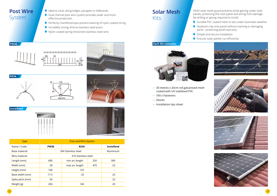### **Post Wire**  System

- Ideal to cover along ledges, parapets or billboards.
- Dual channel post wire system provides wider and more effective protection.
- ◆ Perfectly chamfered eyes prevent wearing of nylon coated string.
- Incredibly strong 4mm ø stainless steel posts.
- Nylon coated spring tensioned stainless steel wire.

![](_page_6_Picture_6.jpeg)

![](_page_6_Picture_7.jpeg)

![](_page_6_Picture_8.jpeg)

![](_page_6_Picture_9.jpeg)

![](_page_6_Picture_10.jpeg)

![](_page_6_Picture_11.jpeg)

**Invisifend**

![](_page_6_Picture_13.jpeg)

![](_page_6_Picture_14.jpeg)

| <b>Type</b>      | <b>Post and Wire System</b> |                |     |            |
|------------------|-----------------------------|----------------|-----|------------|
| Name / Code      | <b>PW36</b>                 | <b>RS34</b>    |     | Invisifend |
| Base material    | 304 Stainless steel         |                |     | Aluminium  |
| Wire material    | 316 Stainless steel         |                |     |            |
| Length (mm)      | 600                         | min arc length | 250 | 300        |
| Width (mm)       | 30                          | max arc length | 470 | 25         |
| Height (mm)      | 100                         | 125            |     |            |
| Base width (mm)  | 17.5                        | 25             |     | 25         |
| Spike pitch (mm) | 50                          |                |     | 25         |
| Weight (g)       | 204                         | 146            |     | 43         |

### **Solar Mesh** Kits

VEXO solar mesh guard prevents birds getting under solar panels, protecting the roof, panel and wiring from damage. No drilling or gluing required to install.

- Durable PVC coated mesh to last under Australian weather
- Fasteners clip onto panel without marking or damaging panel - protecting panel warranty
- $\bullet$  Simple and secure installation
- ◆ Ensures solar panels run efficiently

![](_page_6_Picture_22.jpeg)

- 30 metres x 20cm roll galvanised mesh coated with UV stabilised PVC
- 100 x Fasteners
- Gloves

 $\overline{12}$  ) and the contract of  $\overline{13}$  and  $\overline{14}$  and  $\overline{15}$  and  $\overline{16}$  and  $\overline{15}$  and  $\overline{16}$  and  $\overline{16}$  and  $\overline{16}$  and  $\overline{16}$  and  $\overline{16}$  and  $\overline{16}$  and  $\overline{16}$  and  $\overline{16}$  and  $\overline{16$ 

— Installation tips sheet

![](_page_6_Picture_27.jpeg)

![](_page_6_Picture_28.jpeg)

![](_page_6_Picture_29.jpeg)

![](_page_6_Picture_30.jpeg)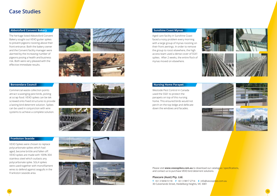### **Case Studies**

#### **Abbotsford Convent Bakery Sunshine Coast Mynas**

The heritage listed Abbotsford Convent Bakery sought out VEXO gutter spikes to prevent pigeons roosting above their front entrance. Both the bakery owner and the Convent facility manager were alarmed by the increasing number of pigeons posing a health and business risk. Both were very pleased with the effective immediate results.

![](_page_7_Picture_3.jpeg)

![](_page_7_Picture_5.jpeg)

Commercial waste collection points attract scavenging pest birds, picking at scrap food. VEXO spikes can be tek screwed onto fixed structures to provide a lasting bird deterrent solution. Spikes can be used in conjunction with wire systems to achieve a complete solution.

![](_page_7_Picture_8.jpeg)

![](_page_7_Picture_9.jpeg)

#### **Frankston Seaside**

VEXO Spikes were chosen to replace polycarbonate spikes which had aged, become brittle and fallen off. VEXO spikes are made with 100% 304 stainless steel which outlasts any polycarbonate spike. SGL4 spikes were used together with monofilament wires to defend against seagulls in the Frankston seaside area.

![](_page_7_Picture_13.jpeg)

![](_page_7_Picture_14.jpeg)

![](_page_7_Picture_15.jpeg)

![](_page_7_Picture_16.jpeg)

Aged care facility in Sunshine Coast faced a noisy problem every morning with a large group of mynas roosting on their front awnings. In order to remove the group to roost elsewhere, the high access team used a dense cover of SS41 spikes. After 2 weeks, the entire flock of mynas moved on elsewhere.

![](_page_7_Figure_19.jpeg)

![](_page_7_Picture_20.jpeg)

![](_page_7_Picture_21.jpeg)

Westside Pest Control in Canada used the SS61 to protect the parapets on top of this nursing home. This ensured birds would not perch on the top ledge and defecate down the windows and facades.

![](_page_7_Picture_24.jpeg)

![](_page_7_Picture_25.jpeg)

![](_page_7_Picture_26.jpeg)

![](_page_7_Picture_27.jpeg)

#### Please visit **www.vexospikes.com.au** to download our catalogue / specifications, and contact us to purchase VEXO bird deterrent solutions.

#### **Plascare (Aust) Pty. Ltd.**

**T** +61 3 9458 5118 **F** +61 3 9817 2714 **E** info@vexospikes.com.au 30 Culverlands Street, Heidelberg Heights, VIC 3081

![](_page_7_Picture_31.jpeg)